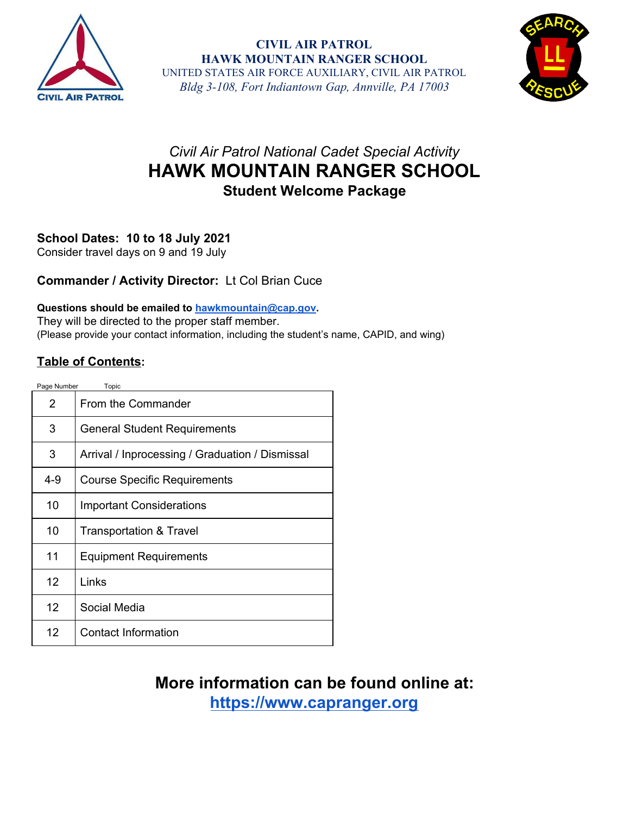

**CIVIL AIR PATROL HAWK MOUNTAIN RANGER SCHOOL** UNITED STATES AIR FORCE AUXILIARY, CIVIL AIR PATROL *Bldg 3-108, Fort Indiantown Gap, Annville, PA 17003*



## *Civil Air Patrol National Cadet Special Activity* **HAWK MOUNTAIN RANGER SCHOOL Student Welcome Package**

## **School Dates: 10 to 18 July 2021**

Consider travel days on 9 and 19 July

## **Commander / Activity Director:** Lt Col Brian Cuce

## **Questions should be emailed to [hawkmountain@cap.gov.](mailto:hawkmountain@cap.gov)**

They will be directed to the proper staff member. (Please provide your contact information, including the student's name, CAPID, and wing)

## **Table of Contents:**

| Page Number<br>Topic |                                                 |
|----------------------|-------------------------------------------------|
| 2                    | From the Commander                              |
| 3                    | <b>General Student Requirements</b>             |
| 3                    | Arrival / Inprocessing / Graduation / Dismissal |
| 4-9                  | <b>Course Specific Requirements</b>             |
| 10                   | <b>Important Considerations</b>                 |
| 10                   | <b>Transportation &amp; Travel</b>              |
| 11                   | <b>Equipment Requirements</b>                   |
| $12 \overline{ }$    | Links                                           |
| 12                   | Social Media                                    |
| 12 <sup>2</sup>      | Contact Information                             |

# **More information can be found online at:**

**[https://www.capranger.org](https://www.capranger.org/)**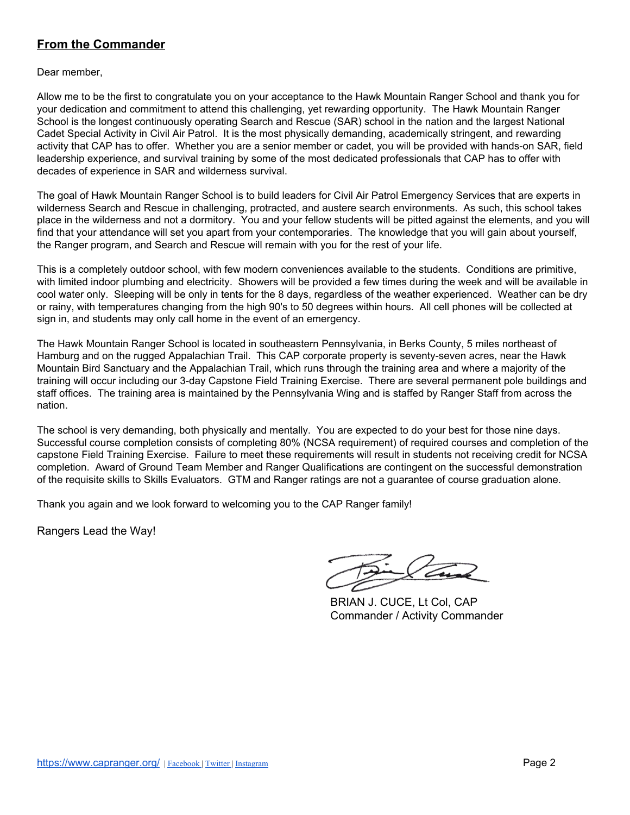## **From the Commander**

Dear member,

Allow me to be the first to congratulate you on your acceptance to the Hawk Mountain Ranger School and thank you for your dedication and commitment to attend this challenging, yet rewarding opportunity. The Hawk Mountain Ranger School is the longest continuously operating Search and Rescue (SAR) school in the nation and the largest National Cadet Special Activity in Civil Air Patrol. It is the most physically demanding, academically stringent, and rewarding activity that CAP has to offer. Whether you are a senior member or cadet, you will be provided with hands-on SAR, field leadership experience, and survival training by some of the most dedicated professionals that CAP has to offer with decades of experience in SAR and wilderness survival.

The goal of Hawk Mountain Ranger School is to build leaders for Civil Air Patrol Emergency Services that are experts in wilderness Search and Rescue in challenging, protracted, and austere search environments. As such, this school takes place in the wilderness and not a dormitory. You and your fellow students will be pitted against the elements, and you will find that your attendance will set you apart from your contemporaries. The knowledge that you will gain about yourself, the Ranger program, and Search and Rescue will remain with you for the rest of your life.

This is a completely outdoor school, with few modern conveniences available to the students. Conditions are primitive, with limited indoor plumbing and electricity. Showers will be provided a few times during the week and will be available in cool water only. Sleeping will be only in tents for the 8 days, regardless of the weather experienced. Weather can be dry or rainy, with temperatures changing from the high 90's to 50 degrees within hours. All cell phones will be collected at sign in, and students may only call home in the event of an emergency.

The Hawk Mountain Ranger School is located in southeastern Pennsylvania, in Berks County, 5 miles northeast of Hamburg and on the rugged Appalachian Trail. This CAP corporate property is seventy-seven acres, near the Hawk Mountain Bird Sanctuary and the Appalachian Trail, which runs through the training area and where a majority of the training will occur including our 3-day Capstone Field Training Exercise. There are several permanent pole buildings and staff offices. The training area is maintained by the Pennsylvania Wing and is staffed by Ranger Staff from across the nation.

The school is very demanding, both physically and mentally. You are expected to do your best for those nine days. Successful course completion consists of completing 80% (NCSA requirement) of required courses and completion of the capstone Field Training Exercise. Failure to meet these requirements will result in students not receiving credit for NCSA completion. Award of Ground Team Member and Ranger Qualifications are contingent on the successful demonstration of the requisite skills to Skills Evaluators. GTM and Ranger ratings are not a guarantee of course graduation alone.

Thank you again and we look forward to welcoming you to the CAP Ranger family!

Rangers Lead the Way!

BRIAN J. CUCE, Lt Col, CAP Commander / Activity Commander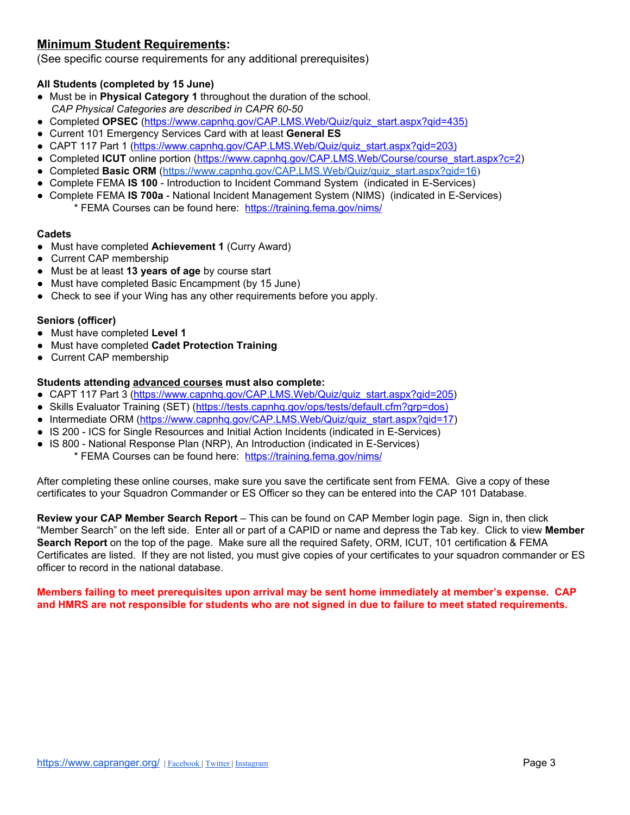## **Minimum Student Requirements:**

(See specific course requirements for any additional prerequisites)

## **All Students (completed by 15 June)**

- Must be in **Physical Category 1** throughout the duration of the school. *CAP Physical Categories are described in CAPR 60-50*
- Completed **OPSEC** [\(https://www.capnhq.gov/CAP.LMS.Web/Quiz/quiz\\_start.aspx?qid=435\)](https://www.capnhq.gov/CAP.LMS.Web/Quiz/quiz_start.aspx?qid=435))
- Current 101 Emergency Services Card with at least **General ES**
- CAPT 117 Part 1 ([https://www.capnhq.gov/CAP.LMS.Web/Quiz/quiz\\_start.aspx?qid=203\)](https://www.capnhq.gov/CAP.LMS.Web/Quiz/quiz_start.aspx?qid=203))
- Completed **ICUT** online portion [\(https://www.capnhq.gov/CAP.LMS.Web/Course/course\\_start.aspx?c=2](https://www.capnhq.gov/CAP.LMS.Web/Course/course_start.aspx?c=2))
- Completed **Basic ORM** [\(https://www.capnhq.gov/CAP.LMS.Web/Quiz/quiz\\_start.aspx?qid=16](https://www.capnhq.gov/CAP.LMS.Web/Quiz/quiz_start.aspx?qid=16))
- Complete FEMA **IS 100** Introduction to Incident Command System (indicated in E-Services)
- Complete FEMA **IS 700a** National Incident Management System (NIMS) (indicated in E-Services) \* FEMA Courses can be found here: <https://training.fema.gov/nims/>

## **Cadets**

- Must have completed **Achievement 1** (Curry Award)
- **Current CAP membership**
- Must be at least **13 years of age** by course start
- Must have completed Basic Encampment (by 15 June)
- Check to see if your Wing has any other requirements before you apply.

## **Seniors (officer)**

- Must have completed **Level 1**
- Must have completed **Cadet Protection Training**
- Current CAP membership

## **Students attending advanced courses must also complete:**

- CAPT 117 Part 3 ([https://www.capnhq.gov/CAP.LMS.Web/Quiz/quiz\\_start.aspx?qid=205\)](https://www.capnhq.gov/CAP.LMS.Web/Quiz/quiz_start.aspx?qid=205)
- Skills Evaluator Training (SET) [\(https://tests.capnhq.gov/ops/tests/default.cfm?grp=dos\)](https://tests.capnhq.gov/ops/tests/default.cfm?grp=dos))
- Intermediate ORM [\(https://www.capnhq.gov/CAP.LMS.Web/Quiz/quiz\\_start.aspx?qid=17](https://www.capnhq.gov/CAP.LMS.Web/Quiz/quiz_start.aspx?qid=17))
- IS 200 ICS for Single Resources and Initial Action Incidents (indicated in E-Services)
- IS 800 National Response Plan (NRP), An Introduction (indicated in E-Services)
	- \* FEMA Courses can be found here: <https://training.fema.gov/nims/>

After completing these online courses, make sure you save the certificate sent from FEMA. Give a copy of these certificates to your Squadron Commander or ES Officer so they can be entered into the CAP 101 Database.

**Review your CAP Member Search Report** – This can be found on CAP Member login page. Sign in, then click "Member Search" on the left side. Enter all or part of a CAPID or name and depress the Tab key. Click to view **Member Search Report** on the top of the page. Make sure all the required Safety, ORM, ICUT, 101 certification & FEMA Certificates are listed. If they are not listed, you must give copies of your certificates to your squadron commander or ES officer to record in the national database.

**Members failing to meet prerequisites upon arrival may be sent home immediately at member's expense. CAP** and HMRS are not responsible for students who are not signed in due to failure to meet stated requirements.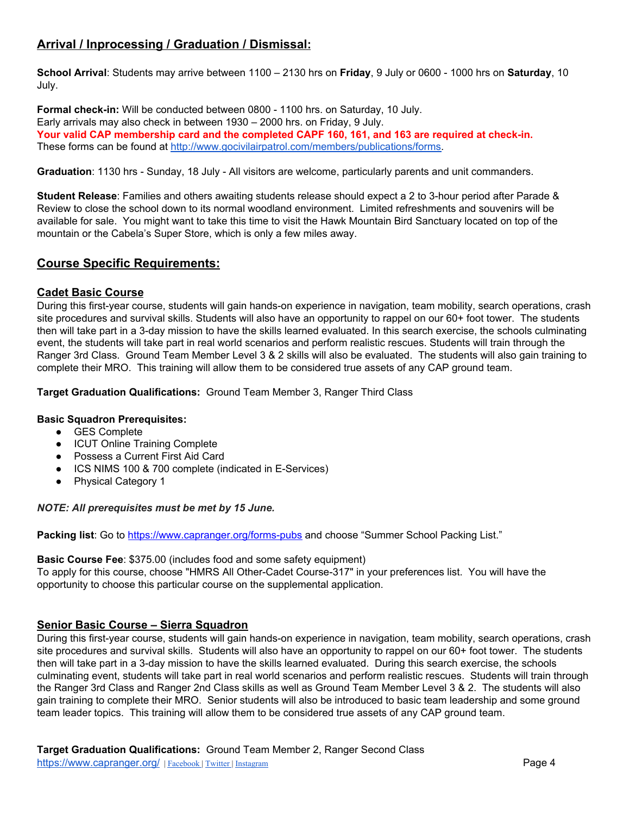## **Arrival / Inprocessing / Graduation / Dismissal:**

**School Arrival**: Students may arrive between 1100 – 2130 hrs on **Friday**, 9 July or 0600 - 1000 hrs on **Saturday**, 10 July.

**Formal check-in:** Will be conducted between 0800 - 1100 hrs. on Saturday, 10 July. Early arrivals may also check in between 1930 – 2000 hrs. on Friday, 9 July. **Your valid CAP membership card and the completed CAPF 160, 161, and 163 are required at check-in.** These forms can be found at [http://www.gocivilairpatrol.com/members/publications/forms.](http://www.gocivilairpatrol.com/members/publications/forms)

**Graduation**: 1130 hrs - Sunday, 18 July - All visitors are welcome, particularly parents and unit commanders.

**Student Release**: Families and others awaiting students release should expect a 2 to 3-hour period after Parade & Review to close the school down to its normal woodland environment. Limited refreshments and souvenirs will be available for sale. You might want to take this time to visit the Hawk Mountain Bird Sanctuary located on top of the mountain or the Cabela's Super Store, which is only a few miles away.

## **Course Specific Requirements:**

## **Cadet Basic Course**

During this first-year course, students will gain hands-on experience in navigation, team mobility, search operations, crash site procedures and survival skills. Students will also have an opportunity to rappel on our 60+ foot tower. The students then will take part in a 3-day mission to have the skills learned evaluated. In this search exercise, the schools culminating event, the students will take part in real world scenarios and perform realistic rescues. Students will train through the Ranger 3rd Class. Ground Team Member Level 3 & 2 skills will also be evaluated. The students will also gain training to complete their MRO. This training will allow them to be considered true assets of any CAP ground team.

**Target Graduation Qualifications:** Ground Team Member 3, Ranger Third Class

## **Basic Squadron Prerequisites:**

- GES Complete
- ICUT Online Training Complete
- Possess a Current First Aid Card
- ICS NIMS 100 & 700 complete (indicated in E-Services)
- Physical Category 1

#### *NOTE: All prerequisites must be met by 15 June.*

**Packing list**: Go to <https://www.capranger.org/forms-pubs> and choose "Summer School Packing List."

#### **Basic Course Fee**: \$375.00 (includes food and some safety equipment)

To apply for this course, choose "HMRS All Other-Cadet Course-317" in your preferences list. You will have the opportunity to choose this particular course on the supplemental application.

## **Senior Basic Course – Sierra Squadron**

During this first-year course, students will gain hands-on experience in navigation, team mobility, search operations, crash site procedures and survival skills. Students will also have an opportunity to rappel on our 60+ foot tower. The students then will take part in a 3-day mission to have the skills learned evaluated. During this search exercise, the schools culminating event, students will take part in real world scenarios and perform realistic rescues. Students will train through the Ranger 3rd Class and Ranger 2nd Class skills as well as Ground Team Member Level 3 & 2. The students will also gain training to complete their MRO. Senior students will also be introduced to basic team leadership and some ground team leader topics. This training will allow them to be considered true assets of any CAP ground team.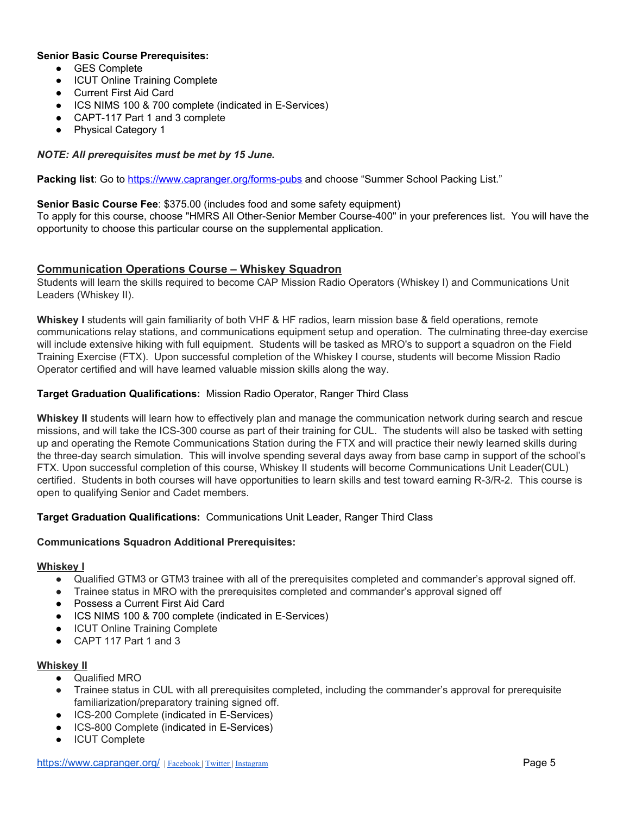#### **Senior Basic Course Prerequisites:**

- GES Complete
- ICUT Online Training Complete
- Current First Aid Card
- ICS NIMS 100 & 700 complete (indicated in E-Services)
- CAPT-117 Part 1 and 3 complete
- Physical Category 1

## *NOTE: All prerequisites must be met by 15 June.*

**Packing list**: Go to <https://www.capranger.org/forms-pubs> and choose "Summer School Packing List."

#### **Senior Basic Course Fee**: \$375.00 (includes food and some safety equipment)

To apply for this course, choose "HMRS All Other-Senior Member Course-400" in your preferences list. You will have the opportunity to choose this particular course on the supplemental application.

## **Communication Operations Course – Whiskey Squadron**

Students will learn the skills required to become CAP Mission Radio Operators (Whiskey I) and Communications Unit Leaders (Whiskey II).

**Whiskey I** students will gain familiarity of both VHF & HF radios, learn mission base & field operations, remote communications relay stations, and communications equipment setup and operation. The culminating three-day exercise will include extensive hiking with full equipment. Students will be tasked as MRO's to support a squadron on the Field Training Exercise (FTX). Upon successful completion of the Whiskey I course, students will become Mission Radio Operator certified and will have learned valuable mission skills along the way.

## **Target Graduation Qualifications:** Mission Radio Operator, Ranger Third Class

**Whiskey II** students will learn how to effectively plan and manage the communication network during search and rescue missions, and will take the ICS-300 course as part of their training for CUL. The students will also be tasked with setting up and operating the Remote Communications Station during the FTX and will practice their newly learned skills during the three-day search simulation. This will involve spending several days away from base camp in support of the school's FTX. Upon successful completion of this course, Whiskey II students will become Communications Unit Leader(CUL) certified. Students in both courses will have opportunities to learn skills and test toward earning R-3/R-2. This course is open to qualifying Senior and Cadet members.

## **Target Graduation Qualifications:** Communications Unit Leader, Ranger Third Class

## **Communications Squadron Additional Prerequisites:**

#### **Whiskey I**

- Qualified GTM3 or GTM3 trainee with all of the prerequisites completed and commander's approval signed off.
- Trainee status in MRO with the prerequisites completed and commander's approval signed off
- Possess a Current First Aid Card
- ICS NIMS 100 & 700 complete (indicated in E-Services)
- ICUT Online Training Complete
- CAPT 117 Part 1 and 3

#### **Whiskey II**

- Qualified MRO
- Trainee status in CUL with all prerequisites completed, including the commander's approval for prerequisite familiarization/preparatory training signed off.
- ICS-200 Complete (indicated in E-Services)
- ICS-800 Complete (indicated in E-Services)
- ICUT Complete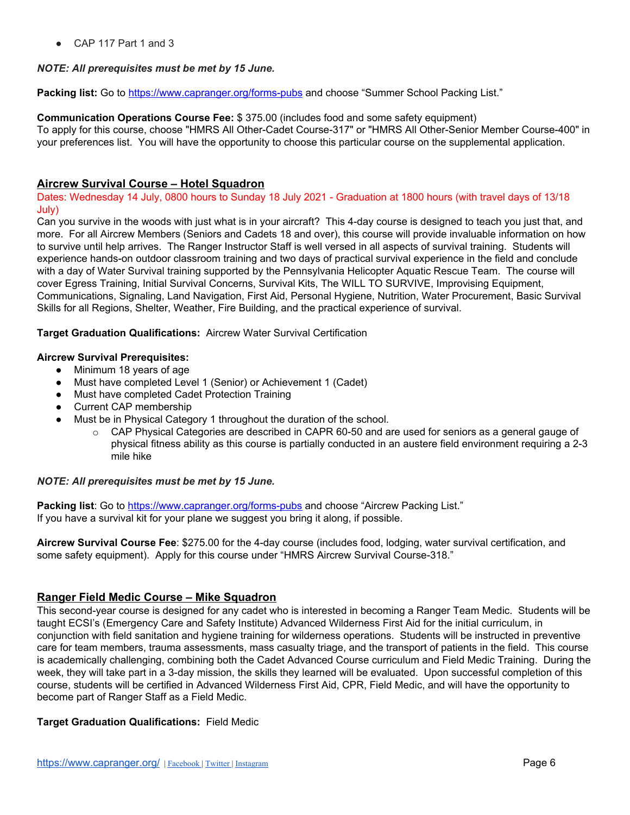$\bullet$  CAP 117 Part 1 and 3

## *NOTE: All prerequisites must be met by 15 June.*

**Packing list:** Go to <https://www.capranger.org/forms-pubs> and choose "Summer School Packing List."

## **Communication Operations Course Fee:** \$ 375.00 (includes food and some safety equipment)

To apply for this course, choose "HMRS All Other-Cadet Course-317" or "HMRS All Other-Senior Member Course-400" in your preferences list. You will have the opportunity to choose this particular course on the supplemental application.

## **Aircrew Survival Course – Hotel Squadron**

Dates: Wednesday 14 July, 0800 hours to Sunday 18 July 2021 - Graduation at 1800 hours (with travel days of 13/18 July)

Can you survive in the woods with just what is in your aircraft? This 4-day course is designed to teach you just that, and more. For all Aircrew Members (Seniors and Cadets 18 and over), this course will provide invaluable information on how to survive until help arrives. The Ranger Instructor Staff is well versed in all aspects of survival training. Students will experience hands-on outdoor classroom training and two days of practical survival experience in the field and conclude with a day of Water Survival training supported by the Pennsylvania Helicopter Aquatic Rescue Team. The course will cover Egress Training, Initial Survival Concerns, Survival Kits, The WILL TO SURVIVE, Improvising Equipment, Communications, Signaling, Land Navigation, First Aid, Personal Hygiene, Nutrition, Water Procurement, Basic Survival Skills for all Regions, Shelter, Weather, Fire Building, and the practical experience of survival.

## **Target Graduation Qualifications:** Aircrew Water Survival Certification

## **Aircrew Survival Prerequisites:**

- Minimum 18 years of age
- Must have completed Level 1 (Senior) or Achievement 1 (Cadet)
- Must have completed Cadet Protection Training
- Current CAP membership
- Must be in Physical Category 1 throughout the duration of the school.
	- $\circ$  CAP Physical Categories are described in CAPR 60-50 and are used for seniors as a general gauge of physical fitness ability as this course is partially conducted in an austere field environment requiring a 2-3 mile hike

## *NOTE: All prerequisites must be met by 15 June.*

**Packing list**: Go to <https://www.capranger.org/forms-pubs> and choose "Aircrew Packing List." If you have a survival kit for your plane we suggest you bring it along, if possible.

**Aircrew Survival Course Fee**: \$275.00 for the 4-day course (includes food, lodging, water survival certification, and some safety equipment). Apply for this course under "HMRS Aircrew Survival Course-318."

## **Ranger Field Medic Course – Mike Squadron**

This second-year course is designed for any cadet who is interested in becoming a Ranger Team Medic. Students will be taught ECSI's (Emergency Care and Safety Institute) Advanced Wilderness First Aid for the initial curriculum, in conjunction with field sanitation and hygiene training for wilderness operations. Students will be instructed in preventive care for team members, trauma assessments, mass casualty triage, and the transport of patients in the field. This course is academically challenging, combining both the Cadet Advanced Course curriculum and Field Medic Training. During the week, they will take part in a 3-day mission, the skills they learned will be evaluated. Upon successful completion of this course, students will be certified in Advanced Wilderness First Aid, CPR, Field Medic, and will have the opportunity to become part of Ranger Staff as a Field Medic.

## **Target Graduation Qualifications:** Field Medic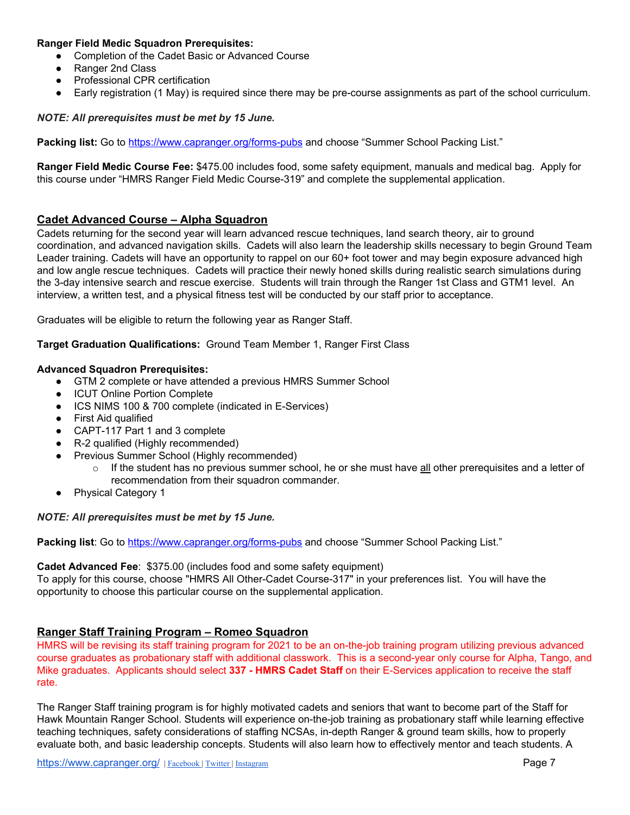#### **Ranger Field Medic Squadron Prerequisites:**

- Completion of the Cadet Basic or Advanced Course
- Ranger 2nd Class
- Professional CPR certification
- Early registration (1 May) is required since there may be pre-course assignments as part of the school curriculum.

#### *NOTE: All prerequisites must be met by 15 June.*

**Packing list:** Go to <https://www.capranger.org/forms-pubs> and choose "Summer School Packing List."

**Ranger Field Medic Course Fee:** \$475.00 includes food, some safety equipment, manuals and medical bag. Apply for this course under "HMRS Ranger Field Medic Course-319" and complete the supplemental application.

## **Cadet Advanced Course – Alpha Squadron**

Cadets returning for the second year will learn advanced rescue techniques, land search theory, air to ground coordination, and advanced navigation skills. Cadets will also learn the leadership skills necessary to begin Ground Team Leader training. Cadets will have an opportunity to rappel on our 60+ foot tower and may begin exposure advanced high and low angle rescue techniques. Cadets will practice their newly honed skills during realistic search simulations during the 3-day intensive search and rescue exercise. Students will train through the Ranger 1st Class and GTM1 level. An interview, a written test, and a physical fitness test will be conducted by our staff prior to acceptance.

Graduates will be eligible to return the following year as Ranger Staff.

**Target Graduation Qualifications:** Ground Team Member 1, Ranger First Class

#### **Advanced Squadron Prerequisites:**

- GTM 2 complete or have attended a previous HMRS Summer School
- ICUT Online Portion Complete
- ICS NIMS 100 & 700 complete (indicated in E-Services)
- First Aid qualified
- CAPT-117 Part 1 and 3 complete
- R-2 qualified (Highly recommended)
- Previous Summer School (Highly recommended)
	- $\circ$  If the student has no previous summer school, he or she must have all other prerequisites and a letter of recommendation from their squadron commander.
- Physical Category 1

#### *NOTE: All prerequisites must be met by 15 June.*

**Packing list**: Go to <https://www.capranger.org/forms-pubs> and choose "Summer School Packing List."

#### **Cadet Advanced Fee**: \$375.00 (includes food and some safety equipment)

To apply for this course, choose "HMRS All Other-Cadet Course-317" in your preferences list. You will have the opportunity to choose this particular course on the supplemental application.

## **Ranger Staff Training Program – Romeo Squadron**

HMRS will be revising its staff training program for 2021 to be an on-the-job training program utilizing previous advanced course graduates as probationary staff with additional classwork. This is a second-year only course for Alpha, Tango, and Mike graduates. Applicants should select **337 - HMRS Cadet Staff** on their E-Services application to receive the staff rate.

The Ranger Staff training program is for highly motivated cadets and seniors that want to become part of the Staff for Hawk Mountain Ranger School. Students will experience on-the-job training as probationary staff while learning effective teaching techniques, safety considerations of staffing NCSAs, in-depth Ranger & ground team skills, how to properly evaluate both, and basic leadership concepts. Students will also learn how to effectively mentor and teach students. A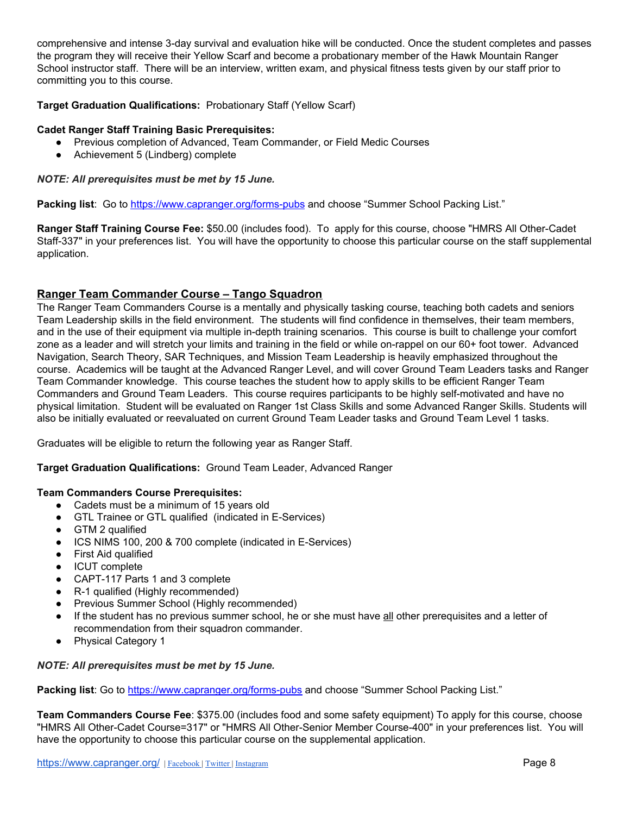comprehensive and intense 3-day survival and evaluation hike will be conducted. Once the student completes and passes the program they will receive their Yellow Scarf and become a probationary member of the Hawk Mountain Ranger School instructor staff. There will be an interview, written exam, and physical fitness tests given by our staff prior to committing you to this course.

## **Target Graduation Qualifications:** Probationary Staff (Yellow Scarf)

## **Cadet Ranger Staff Training Basic Prerequisites:**

- Previous completion of Advanced, Team Commander, or Field Medic Courses
- Achievement 5 (Lindberg) complete

#### *NOTE: All prerequisites must be met by 15 June.*

**Packing list**: Go to <https://www.capranger.org/forms-pubs> and choose "Summer School Packing List."

**Ranger Staff Training Course Fee:** \$50.00 (includes food). To apply for this course, choose "HMRS All Other-Cadet Staff-337" in your preferences list. You will have the opportunity to choose this particular course on the staff supplemental application.

## **Ranger Team Commander Course – Tango Squadron**

The Ranger Team Commanders Course is a mentally and physically tasking course, teaching both cadets and seniors Team Leadership skills in the field environment. The students will find confidence in themselves, their team members, and in the use of their equipment via multiple in-depth training scenarios. This course is built to challenge your comfort zone as a leader and will stretch your limits and training in the field or while on-rappel on our 60+ foot tower. Advanced Navigation, Search Theory, SAR Techniques, and Mission Team Leadership is heavily emphasized throughout the course. Academics will be taught at the Advanced Ranger Level, and will cover Ground Team Leaders tasks and Ranger Team Commander knowledge. This course teaches the student how to apply skills to be efficient Ranger Team Commanders and Ground Team Leaders. This course requires participants to be highly self-motivated and have no physical limitation. Student will be evaluated on Ranger 1st Class Skills and some Advanced Ranger Skills. Students will also be initially evaluated or reevaluated on current Ground Team Leader tasks and Ground Team Level 1 tasks.

Graduates will be eligible to return the following year as Ranger Staff.

**Target Graduation Qualifications:** Ground Team Leader, Advanced Ranger

#### **Team Commanders Course Prerequisites:**

- Cadets must be a minimum of 15 years old
- GTL Trainee or GTL qualified (indicated in E-Services)
- GTM 2 qualified
- ICS NIMS 100, 200 & 700 complete (indicated in E-Services)
- **First Aid qualified**
- **ICUT** complete
- CAPT-117 Parts 1 and 3 complete
- R-1 qualified (Highly recommended)
- Previous Summer School (Highly recommended)
- If the student has no previous summer school, he or she must have all other prerequisites and a letter of recommendation from their squadron commander.
- **Physical Category 1**

#### *NOTE: All prerequisites must be met by 15 June.*

Packing list: Go to <https://www.capranger.org/forms-pubs> and choose "Summer School Packing List."

**Team Commanders Course Fee**: \$375.00 (includes food and some safety equipment) To apply for this course, choose "HMRS All Other-Cadet Course=317" or "HMRS All Other-Senior Member Course-400" in your preferences list. You will have the opportunity to choose this particular course on the supplemental application.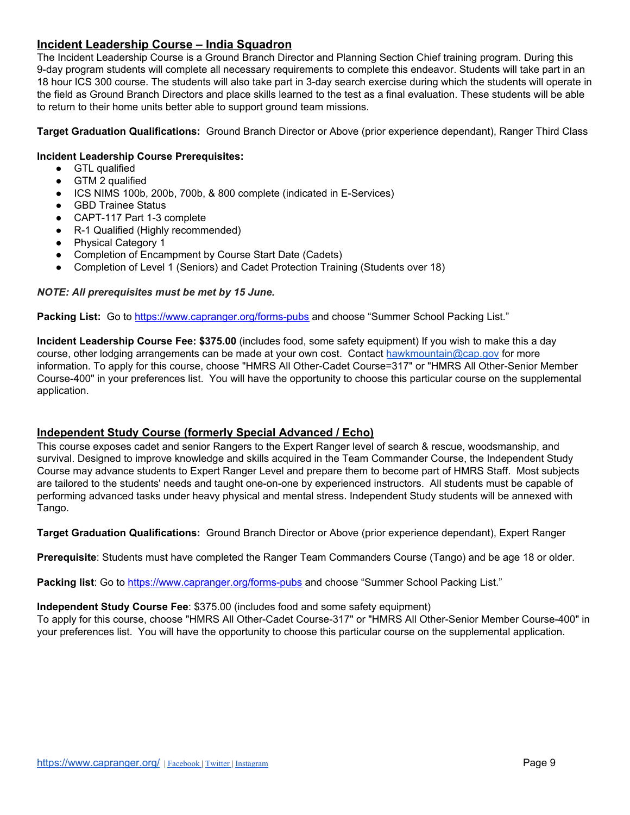## **Incident Leadership Course – India Squadron**

The Incident Leadership Course is a Ground Branch Director and Planning Section Chief training program. During this 9-day program students will complete all necessary requirements to complete this endeavor. Students will take part in an 18 hour ICS 300 course. The students will also take part in 3-day search exercise during which the students will operate in the field as Ground Branch Directors and place skills learned to the test as a final evaluation. These students will be able to return to their home units better able to support ground team missions.

**Target Graduation Qualifications:** Ground Branch Director or Above (prior experience dependant), Ranger Third Class

#### **Incident Leadership Course Prerequisites:**

- GTL qualified
- GTM 2 qualified
- ICS NIMS 100b, 200b, 700b, & 800 complete (indicated in E-Services)
- GBD Trainee Status
- CAPT-117 Part 1-3 complete
- R-1 Qualified (Highly recommended)
- Physical Category 1
- Completion of Encampment by Course Start Date (Cadets)
- Completion of Level 1 (Seniors) and Cadet Protection Training (Students over 18)

#### *NOTE: All prerequisites must be met by 15 June.*

Packing List: Go to <https://www.capranger.org/forms-pubs> and choose "Summer School Packing List."

**Incident Leadership Course Fee: \$375.00** (includes food, some safety equipment) If you wish to make this a day course, other lodging arrangements can be made at your own cost. Contact [hawkmountain@cap.gov](mailto:hawkmountain@cap.gov) for more information. To apply for this course, choose "HMRS All Other-Cadet Course=317" or "HMRS All Other-Senior Member Course-400" in your preferences list. You will have the opportunity to choose this particular course on the supplemental application.

## **Independent Study Course (formerly Special Advanced / Echo)**

This course exposes cadet and senior Rangers to the Expert Ranger level of search & rescue, woodsmanship, and survival. Designed to improve knowledge and skills acquired in the Team Commander Course, the Independent Study Course may advance students to Expert Ranger Level and prepare them to become part of HMRS Staff. Most subjects are tailored to the students' needs and taught one-on-one by experienced instructors. All students must be capable of performing advanced tasks under heavy physical and mental stress. Independent Study students will be annexed with Tango.

**Target Graduation Qualifications:** Ground Branch Director or Above (prior experience dependant), Expert Ranger

**Prerequisite**: Students must have completed the Ranger Team Commanders Course (Tango) and be age 18 or older.

**Packing list**: Go to <https://www.capranger.org/forms-pubs> and choose "Summer School Packing List."

#### **Independent Study Course Fee**: \$375.00 (includes food and some safety equipment)

To apply for this course, choose "HMRS All Other-Cadet Course-317" or "HMRS All Other-Senior Member Course-400" in your preferences list. You will have the opportunity to choose this particular course on the supplemental application.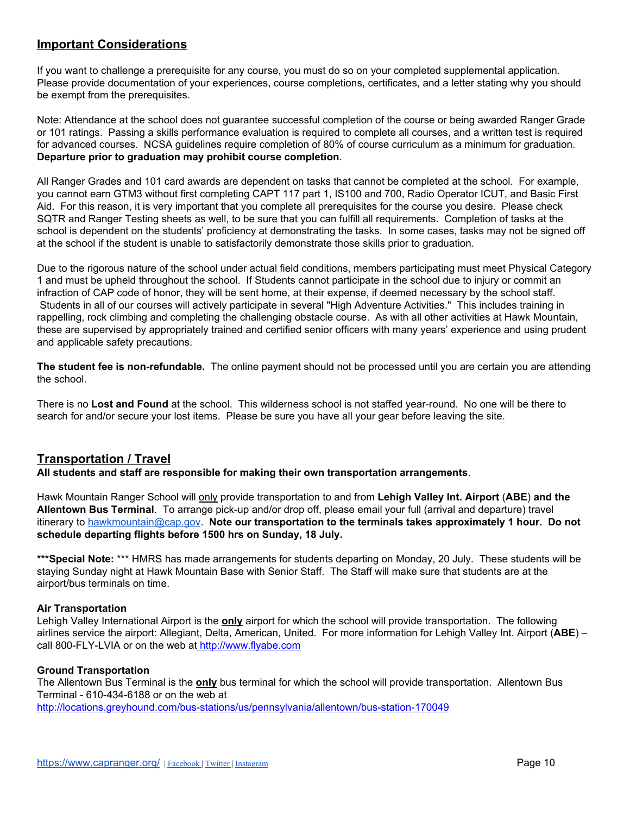## **Important Considerations**

If you want to challenge a prerequisite for any course, you must do so on your completed supplemental application. Please provide documentation of your experiences, course completions, certificates, and a letter stating why you should be exempt from the prerequisites.

Note: Attendance at the school does not guarantee successful completion of the course or being awarded Ranger Grade or 101 ratings. Passing a skills performance evaluation is required to complete all courses, and a written test is required for advanced courses. NCSA guidelines require completion of 80% of course curriculum as a minimum for graduation. **Departure prior to graduation may prohibit course completion**.

All Ranger Grades and 101 card awards are dependent on tasks that cannot be completed at the school. For example, you cannot earn GTM3 without first completing CAPT 117 part 1, IS100 and 700, Radio Operator ICUT, and Basic First Aid. For this reason, it is very important that you complete all prerequisites for the course you desire. Please check SQTR and Ranger Testing sheets as well, to be sure that you can fulfill all requirements. Completion of tasks at the school is dependent on the students' proficiency at demonstrating the tasks. In some cases, tasks may not be signed off at the school if the student is unable to satisfactorily demonstrate those skills prior to graduation.

Due to the rigorous nature of the school under actual field conditions, members participating must meet Physical Category 1 and must be upheld throughout the school. If Students cannot participate in the school due to injury or commit an infraction of CAP code of honor, they will be sent home, at their expense, if deemed necessary by the school staff. Students in all of our courses will actively participate in several "High Adventure Activities." This includes training in rappelling, rock climbing and completing the challenging obstacle course. As with all other activities at Hawk Mountain, these are supervised by appropriately trained and certified senior officers with many years' experience and using prudent and applicable safety precautions.

**The student fee is non-refundable.** The online payment should not be processed until you are certain you are attending the school.

There is no **Lost and Found** at the school. This wilderness school is not staffed year-round. No one will be there to search for and/or secure your lost items. Please be sure you have all your gear before leaving the site.

## **Transportation / Travel**

**All students and staff are responsible for making their own transportation arrangements**.

Hawk Mountain Ranger School will only provide transportation to and from **Lehigh Valley Int. Airport** (**ABE**) **and the Allentown Bus Terminal**. To arrange pick-up and/or drop off, please email your full (arrival and departure) travel itinerary to [hawkmountain@cap.gov](mailto:hawkmountain@cap.gov). **Note our transportation to the terminals takes approximately 1 hour. Do not schedule departing flights before 1500 hrs on Sunday, 18 July.**

**\*\*\*Special Note:** \*\*\* HMRS has made arrangements for students departing on Monday, 20 July. These students will be staying Sunday night at Hawk Mountain Base with Senior Staff. The Staff will make sure that students are at the airport/bus terminals on time.

## **Air Transportation**

Lehigh Valley International Airport is the **only** airport for which the school will provide transportation. The following airlines service the airport: Allegiant, Delta, American, United. For more information for Lehigh Valley Int. Airport (**ABE**) – call 800-FLY-LVIA or on [t](http://www.flylvia.com/)he web at [http://www.flyabe.com](http://www.flylvia.com/)

## **Ground Transportation**

The Allentown Bus Terminal is the **only** bus terminal for which the school will provide transportation. Allentown Bus Terminal - 610-434-6188 or on the web at

<http://locations.greyhound.com/bus-stations/us/pennsylvania/allentown/bus-station-170049>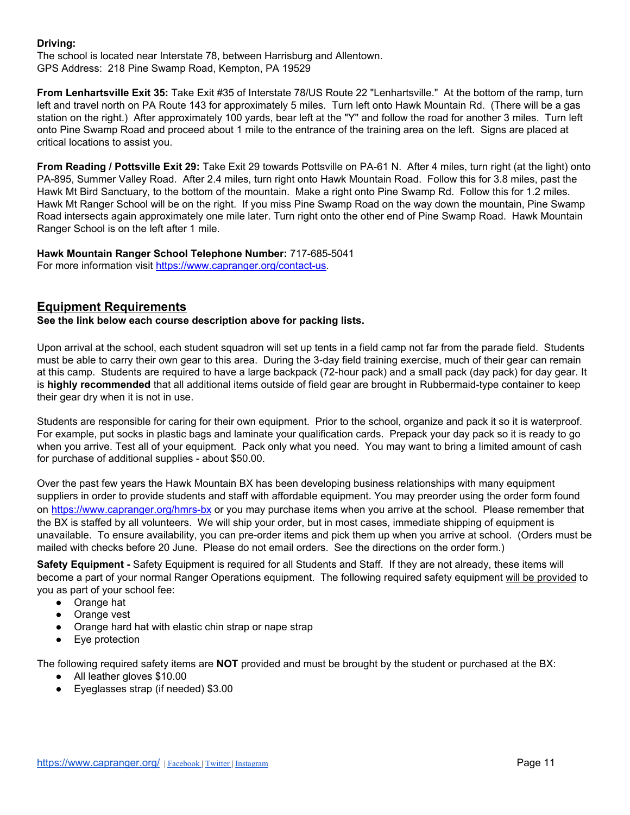#### **Driving:**

The school is located near Interstate 78, between Harrisburg and Allentown. GPS Address: 218 Pine Swamp Road, Kempton, PA 19529

**From Lenhartsville Exit 35:** Take Exit #35 of Interstate 78/US Route 22 "Lenhartsville." At the bottom of the ramp, turn left and travel north on PA Route 143 for approximately 5 miles. Turn left onto Hawk Mountain Rd. (There will be a gas station on the right.) After approximately 100 yards, bear left at the "Y" and follow the road for another 3 miles. Turn left onto Pine Swamp Road and proceed about 1 mile to the entrance of the training area on the left. Signs are placed at critical locations to assist you.

**From Reading / Pottsville Exit 29:** Take Exit 29 towards Pottsville on PA-61 N. After 4 miles, turn right (at the light) onto PA-895, Summer Valley Road. After 2.4 miles, turn right onto Hawk Mountain Road. Follow this for 3.8 miles, past the Hawk Mt Bird Sanctuary, to the bottom of the mountain. Make a right onto Pine Swamp Rd. Follow this for 1.2 miles. Hawk Mt Ranger School will be on the right. If you miss Pine Swamp Road on the way down the mountain, Pine Swamp Road intersects again approximately one mile later. Turn right onto the other end of Pine Swamp Road. Hawk Mountain Ranger School is on the left after 1 mile.

**Hawk Mountain Ranger School Telephone Number:** 717-685-5041 For more information visit <https://www.capranger.org/contact-us>.

## **Equipment Requirements**

**See the link below each course description above for packing lists.**

Upon arrival at the school, each student squadron will set up tents in a field camp not far from the parade field. Students must be able to carry their own gear to this area. During the 3-day field training exercise, much of their gear can remain at this camp. Students are required to have a large backpack (72-hour pack) and a small pack (day pack) for day gear. It is **highly recommended** that all additional items outside of field gear are brought in Rubbermaid-type container to keep their gear dry when it is not in use.

Students are responsible for caring for their own equipment. Prior to the school, organize and pack it so it is waterproof. For example, put socks in plastic bags and laminate your qualification cards. Prepack your day pack so it is ready to go when you arrive. Test all of your equipment. Pack only what you need. You may want to bring a limited amount of cash for purchase of additional supplies - about \$50.00.

Over the past few years the Hawk Mountain BX has been developing business relationships with many equipment suppliers in order to provide students and staff with affordable equipment. You may preorder using the order form found on <https://www.capranger.org/hmrs-bx> or you may purchase items when you arrive at the school. Please remember that the BX is staffed by all volunteers. We will ship your order, but in most cases, immediate shipping of equipment is unavailable. To ensure availability, you can pre-order items and pick them up when you arrive at school. (Orders must be mailed with checks before 20 June. Please do not email orders. See the directions on the order form.)

**Safety Equipment -** Safety Equipment is required for all Students and Staff. If they are not already, these items will become a part of your normal Ranger Operations equipment. The following required safety equipment will be provided to you as part of your school fee:

- Orange hat
- Orange vest
- Orange hard hat with elastic chin strap or nape strap
- Eye protection

The following required safety items are **NOT** provided and must be brought by the student or purchased at the BX:

- All leather gloves \$10.00
- Eyeglasses strap (if needed) \$3.00